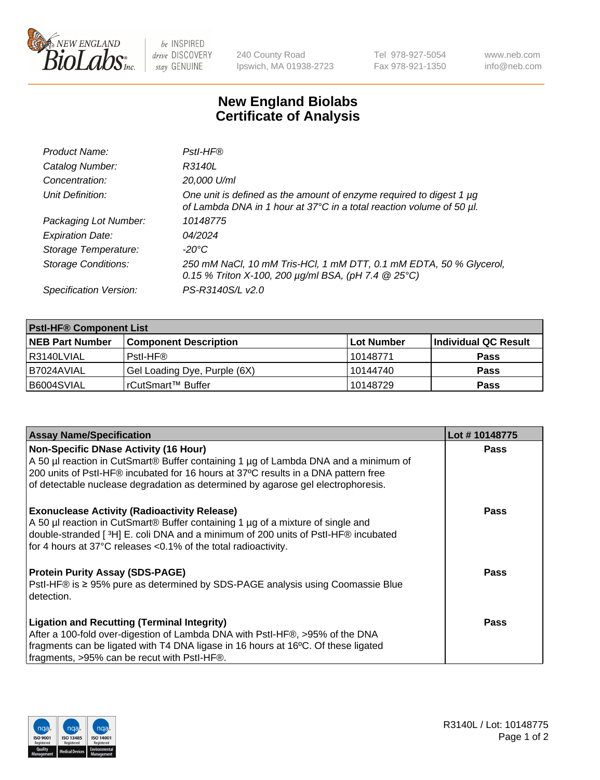

 $be$  INSPIRED drive DISCOVERY stay GENUINE

240 County Road Ipswich, MA 01938-2723 Tel 978-927-5054 Fax 978-921-1350 www.neb.com info@neb.com

## **New England Biolabs Certificate of Analysis**

| Product Name:              | Pstl-HF®                                                                                                                                             |
|----------------------------|------------------------------------------------------------------------------------------------------------------------------------------------------|
| Catalog Number:            | R3140L                                                                                                                                               |
| Concentration:             | 20,000 U/ml                                                                                                                                          |
| Unit Definition:           | One unit is defined as the amount of enzyme required to digest 1 $\mu$ g<br>of Lambda DNA in 1 hour at 37°C in a total reaction volume of 50 µl.     |
| Packaging Lot Number:      | 10148775                                                                                                                                             |
| <b>Expiration Date:</b>    | 04/2024                                                                                                                                              |
| Storage Temperature:       | $-20^{\circ}$ C                                                                                                                                      |
| <b>Storage Conditions:</b> | 250 mM NaCl, 10 mM Tris-HCl, 1 mM DTT, 0.1 mM EDTA, 50 % Glycerol,<br>0.15 % Triton X-100, 200 $\mu$ g/ml BSA, (pH 7.4 $\textcircled{25}^{\circ}$ C) |
| Specification Version:     | PS-R3140S/L v2.0                                                                                                                                     |

| <b>PstI-HF® Component List</b> |                              |             |                      |  |
|--------------------------------|------------------------------|-------------|----------------------|--|
| <b>NEB Part Number</b>         | <b>Component Description</b> | ∣Lot Number | Individual QC Result |  |
| R3140LVIAL                     | Pstl-HF®                     | 10148771    | <b>Pass</b>          |  |
| B7024AVIAL                     | Gel Loading Dye, Purple (6X) | 10144740    | <b>Pass</b>          |  |
| B6004SVIAL                     | l rCutSmart™ Buffer          | 10148729    | <b>Pass</b>          |  |

| <b>Assay Name/Specification</b>                                                                                                                                                                                                                                                               | Lot #10148775 |
|-----------------------------------------------------------------------------------------------------------------------------------------------------------------------------------------------------------------------------------------------------------------------------------------------|---------------|
| <b>Non-Specific DNase Activity (16 Hour)</b><br>A 50 µl reaction in CutSmart <sup>®</sup> Buffer containing 1 µg of Lambda DNA and a minimum of                                                                                                                                               | <b>Pass</b>   |
| 200 units of Pstl-HF® incubated for 16 hours at 37°C results in a DNA pattern free<br>of detectable nuclease degradation as determined by agarose gel electrophoresis.                                                                                                                        |               |
| <b>Exonuclease Activity (Radioactivity Release)</b><br>A 50 µl reaction in CutSmart® Buffer containing 1 µg of a mixture of single and<br>double-stranded [3H] E. coli DNA and a minimum of 200 units of PstI-HF® incubated<br>for 4 hours at 37°C releases <0.1% of the total radioactivity. | Pass          |
| <b>Protein Purity Assay (SDS-PAGE)</b><br>PstI-HF <sup>®</sup> is ≥ 95% pure as determined by SDS-PAGE analysis using Coomassie Blue<br>detection.                                                                                                                                            | <b>Pass</b>   |
| <b>Ligation and Recutting (Terminal Integrity)</b><br>After a 100-fold over-digestion of Lambda DNA with PstI-HF®, >95% of the DNA<br>fragments can be ligated with T4 DNA ligase in 16 hours at 16°C. Of these ligated<br>fragments, >95% can be recut with PstI-HF®.                        | Pass          |